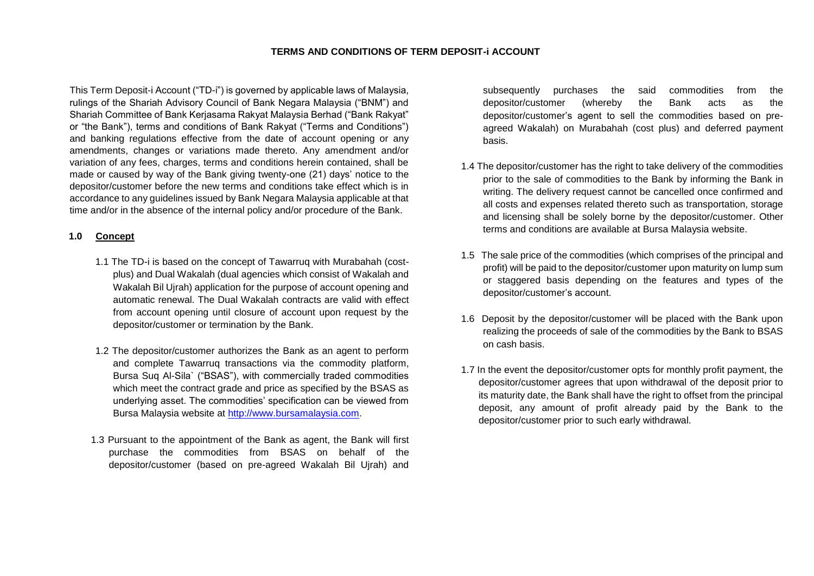#### **TERMS AND CONDITIONS OF TERM DEPOSIT-i ACCOUNT**

This Term Deposit-i Account ("TD-i") is governed by applicable laws of Malaysia, rulings of the Shariah Advisory Council of Bank Negara Malaysia ("BNM") and Shariah Committee of Bank Kerjasama Rakyat Malaysia Berhad ("Bank Rakyat" or "the Bank"), terms and conditions of Bank Rakyat ("Terms and Conditions") and banking regulations effective from the date of account opening or any amendments, changes or variations made thereto. Any amendment and/or variation of any fees, charges, terms and conditions herein contained, shall be made or caused by way of the Bank giving twenty-one (21) days' notice to the depositor/customer before the new terms and conditions take effect which is in accordance to any guidelines issued by Bank Negara Malaysia applicable at that time and/or in the absence of the internal policy and/or procedure of the Bank.

#### **1.0 Concept**

- 1.1 The TD-i is based on the concept of Tawarruq with Murabahah (costplus) and Dual Wakalah (dual agencies which consist of Wakalah and Wakalah Bil Ujrah) application for the purpose of account opening and automatic renewal. The Dual Wakalah contracts are valid with effect from account opening until closure of account upon request by the depositor/customer or termination by the Bank.
- 1.2 The depositor/customer authorizes the Bank as an agent to perform and complete Tawarruq transactions via the commodity platform, Bursa Suq Al-Sila` ("BSAS"), with commercially traded commodities which meet the contract grade and price as specified by the BSAS as underlying asset. The commodities' specification can be viewed from Bursa Malaysia website at [http://www.bursamalaysia.com.](http://www.bursamalaysia.com/)
- 1.3 Pursuant to the appointment of the Bank as agent, the Bank will first purchase the commodities from BSAS on behalf of the depositor/customer (based on pre-agreed Wakalah Bil Ujrah) and

subsequently purchases the said commodities from the depositor/customer (whereby the Bank acts as the depositor/customer's agent to sell the commodities based on preagreed Wakalah) on Murabahah (cost plus) and deferred payment basis.

- 1.4 The depositor/customer has the right to take delivery of the commodities prior to the sale of commodities to the Bank by informing the Bank in writing. The delivery request cannot be cancelled once confirmed and all costs and expenses related thereto such as transportation, storage and licensing shall be solely borne by the depositor/customer. Other terms and conditions are available at Bursa Malaysia website.
- 1.5 The sale price of the commodities (which comprises of the principal and profit) will be paid to the depositor/customer upon maturity on lump sum or staggered basis depending on the features and types of the depositor/customer's account.
- 1.6 Deposit by the depositor/customer will be placed with the Bank upon realizing the proceeds of sale of the commodities by the Bank to BSAS on cash basis.
- 1.7 In the event the depositor/customer opts for monthly profit payment, the depositor/customer agrees that upon withdrawal of the deposit prior to its maturity date, the Bank shall have the right to offset from the principal deposit, any amount of profit already paid by the Bank to the depositor/customer prior to such early withdrawal.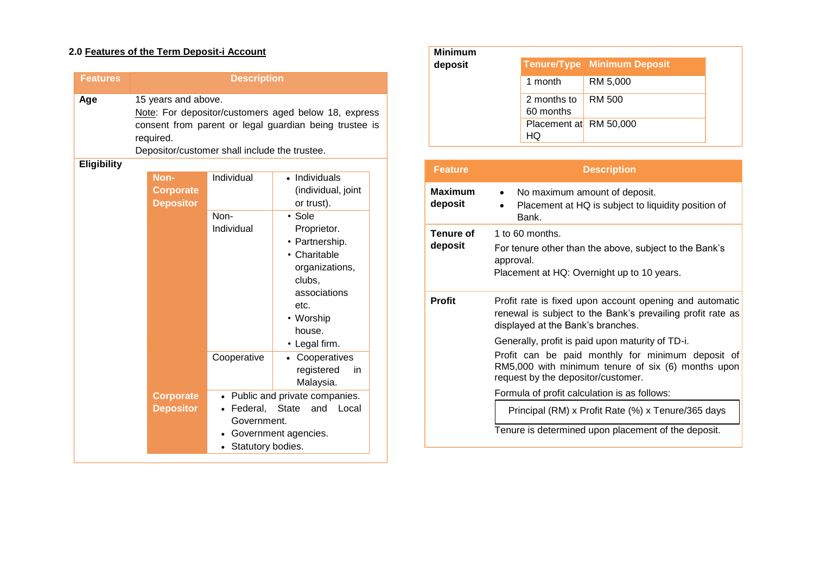# **2.0 Features of the Term Deposit-i Account**

| <b>Features</b> | <b>Description</b>                                                                                                                                                                                  |                                                                   |                                                                                                                                                                                                          |
|-----------------|-----------------------------------------------------------------------------------------------------------------------------------------------------------------------------------------------------|-------------------------------------------------------------------|----------------------------------------------------------------------------------------------------------------------------------------------------------------------------------------------------------|
| Age             | 15 years and above.<br>Note: For depositor/customers aged below 18, express<br>consent from parent or legal guardian being trustee is<br>required.<br>Depositor/customer shall include the trustee. |                                                                   |                                                                                                                                                                                                          |
| Eligibility     | Non-<br><b>Corporate</b><br><b>Depositor</b>                                                                                                                                                        | Individual<br>Non-<br>Individual                                  | • Individuals<br>(individual, joint<br>or trust).<br>• Sole<br>Proprietor.<br>• Partnership.<br>• Charitable<br>organizations,<br>clubs,<br>associations<br>etc.<br>• Worship<br>house.<br>• Legal firm. |
|                 |                                                                                                                                                                                                     | Cooperative                                                       | Cooperatives<br>registered<br>in.<br>Malaysia.                                                                                                                                                           |
|                 | <b>Corporate</b><br><b>Depositor</b>                                                                                                                                                                | $\bullet$<br>• Federal, State<br>Government.<br>Statutory bodies. | Public and private companies.<br>and<br>Local<br>Government agencies.                                                                                                                                    |

| <b>Minimum</b> |                              |                                    |
|----------------|------------------------------|------------------------------------|
| deposit        |                              | <b>Tenure/Type Minimum Deposit</b> |
|                | 1 month                      | RM 5,000                           |
|                | 2 months to<br>60 months     | RM 500                             |
|                | Placement at RM 50,000<br>HQ |                                    |

| <b>Feature</b>            | <b>Description</b>                                                                                                                                                                                |
|---------------------------|---------------------------------------------------------------------------------------------------------------------------------------------------------------------------------------------------|
| <b>Maximum</b><br>deposit | No maximum amount of deposit.<br>$\bullet$<br>Placement at HQ is subject to liquidity position of<br>Bank.                                                                                        |
| Tenure of<br>deposit      | 1 to 60 months.<br>For tenure other than the above, subject to the Bank's<br>approval.<br>Placement at HQ: Overnight up to 10 years.                                                              |
| <b>Profit</b>             | Profit rate is fixed upon account opening and automatic<br>renewal is subject to the Bank's prevailing profit rate as<br>displayed at the Bank's branches.                                        |
|                           | Generally, profit is paid upon maturity of TD-i.<br>Profit can be paid monthly for minimum deposit of<br>RM5,000 with minimum tenure of six (6) months upon<br>request by the depositor/customer. |
|                           | Formula of profit calculation is as follows:                                                                                                                                                      |
|                           | Principal (RM) x Profit Rate (%) x Tenure/365 days                                                                                                                                                |
|                           | Tenure is determined upon placement of the deposit.                                                                                                                                               |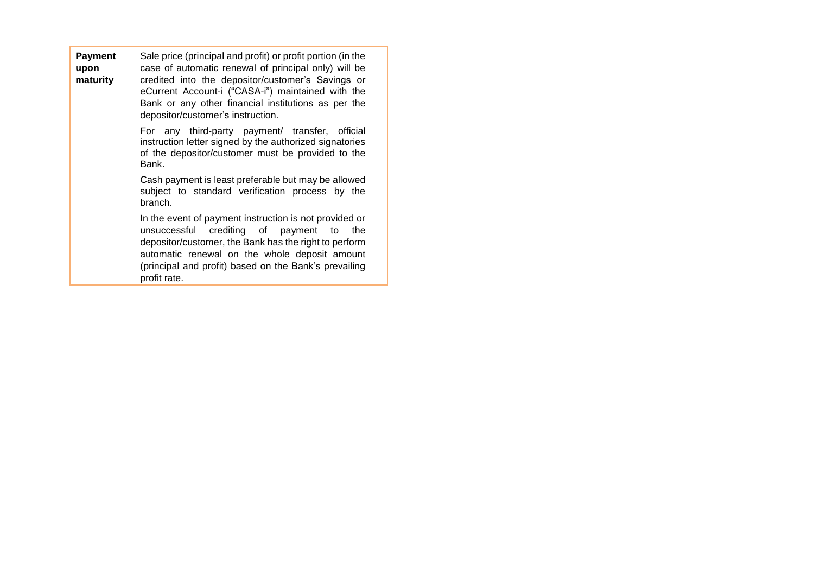| <b>Payment</b> | Sale price (principal and profit) or profit portion (in the                                                                                                                                        |
|----------------|----------------------------------------------------------------------------------------------------------------------------------------------------------------------------------------------------|
| upon           | case of automatic renewal of principal only) will be                                                                                                                                               |
| maturity       | credited into the depositor/customer's Savings or<br>eCurrent Account-i ("CASA-i") maintained with the<br>Bank or any other financial institutions as per the<br>depositor/customer's instruction. |

• For any third-party payment/ transfer, official instruction letter signed by the authorized signatories of the depositor/customer must be provided to the Bank.

• Cash payment is least preferable but may be allowed subject to standard verification process by the branch.

• In the event of payment instruction is not provided or unsuccessful crediting of payment to the depositor/customer, the Bank has the right to perform automatic renewal on the whole deposit amount (principal and profit) based on the Bank's prevailing profit rate.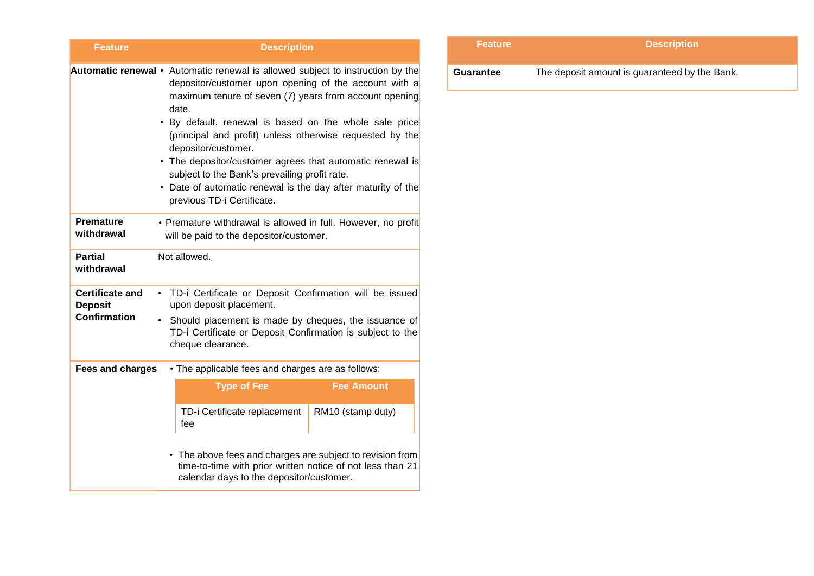| <b>Feature</b>                                                  | <b>Description</b>                                                                                                                                                                                                                                                                                                                                                                                                                                                                                                                                                         |  |
|-----------------------------------------------------------------|----------------------------------------------------------------------------------------------------------------------------------------------------------------------------------------------------------------------------------------------------------------------------------------------------------------------------------------------------------------------------------------------------------------------------------------------------------------------------------------------------------------------------------------------------------------------------|--|
|                                                                 | <b>Automatic renewal</b> • Automatic renewal is allowed subject to instruction by the<br>depositor/customer upon opening of the account with a<br>maximum tenure of seven (7) years from account opening<br>date.<br>. By default, renewal is based on the whole sale price<br>(principal and profit) unless otherwise requested by the<br>depositor/customer.<br>• The depositor/customer agrees that automatic renewal is<br>subject to the Bank's prevailing profit rate.<br>• Date of automatic renewal is the day after maturity of the<br>previous TD-i Certificate. |  |
| <b>Premature</b><br>withdrawal                                  | • Premature withdrawal is allowed in full. However, no profit<br>will be paid to the depositor/customer.                                                                                                                                                                                                                                                                                                                                                                                                                                                                   |  |
| <b>Partial</b><br>withdrawal                                    | Not allowed.                                                                                                                                                                                                                                                                                                                                                                                                                                                                                                                                                               |  |
| <b>Certificate and</b><br><b>Deposit</b><br><b>Confirmation</b> | TD-i Certificate or Deposit Confirmation will be issued<br>$\bullet$<br>upon deposit placement.<br>Should placement is made by cheques, the issuance of<br>$\bullet$<br>TD-i Certificate or Deposit Confirmation is subject to the<br>cheque clearance.                                                                                                                                                                                                                                                                                                                    |  |
| <b>Fees and charges</b>                                         | • The applicable fees and charges are as follows:                                                                                                                                                                                                                                                                                                                                                                                                                                                                                                                          |  |
|                                                                 | <b>Type of Fee</b><br><b>Fee Amount</b>                                                                                                                                                                                                                                                                                                                                                                                                                                                                                                                                    |  |
|                                                                 | TD-i Certificate replacement<br>RM10 (stamp duty)<br>fee                                                                                                                                                                                                                                                                                                                                                                                                                                                                                                                   |  |
|                                                                 | • The above fees and charges are subject to revision from<br>time-to-time with prior written notice of not less than 21<br>calendar days to the depositor/customer.                                                                                                                                                                                                                                                                                                                                                                                                        |  |

| <b>Feature</b> | <b>Description</b>                            |  |
|----------------|-----------------------------------------------|--|
| Guarantee      | The deposit amount is guaranteed by the Bank. |  |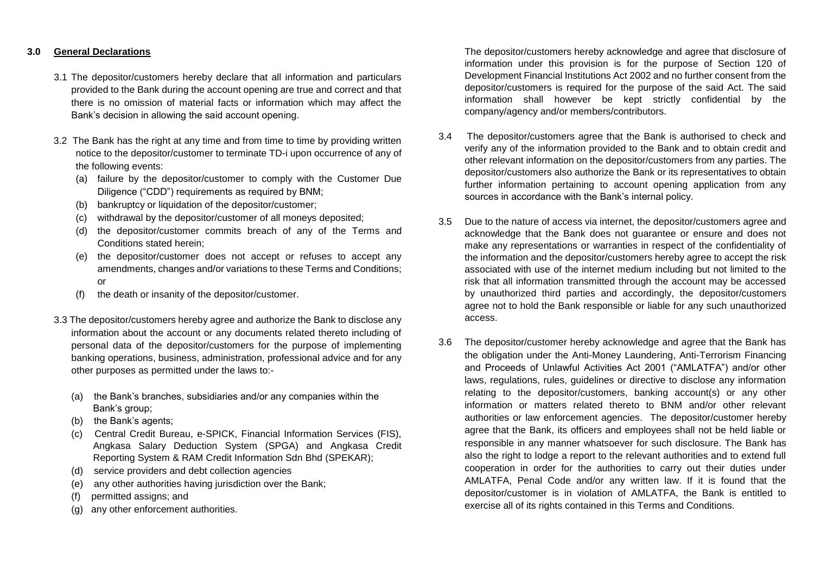## **3.0 General Declarations**

- 3.1 The depositor/customers hereby declare that all information and particulars provided to the Bank during the account opening are true and correct and that there is no omission of material facts or information which may affect the Bank's decision in allowing the said account opening.
- 3.2 The Bank has the right at any time and from time to time by providing written notice to the depositor/customer to terminate TD-i upon occurrence of any of the following events:
	- (a) failure by the depositor/customer to comply with the Customer Due Diligence ("CDD") requirements as required by BNM;
	- (b) bankruptcy or liquidation of the depositor/customer;
	- withdrawal by the depositor/customer of all moneys deposited;
	- (d) the depositor/customer commits breach of any of the Terms and Conditions stated herein;
	- (e) the depositor/customer does not accept or refuses to accept any amendments, changes and/or variations to these Terms and Conditions; or
	- (f) the death or insanity of the depositor/customer.
- 3.3 The depositor/customers hereby agree and authorize the Bank to disclose any information about the account or any documents related thereto including of personal data of the depositor/customers for the purpose of implementing banking operations, business, administration, professional advice and for any other purposes as permitted under the laws to:-
	- (a) the Bank's branches, subsidiaries and/or any companies within the Bank's group;
	- (b) the Bank's agents;
	- (c) Central Credit Bureau, e-SPICK, Financial Information Services (FIS), Angkasa Salary Deduction System (SPGA) and Angkasa Credit Reporting System & RAM Credit Information Sdn Bhd (SPEKAR);
	- (d) service providers and debt collection agencies
	- (e) any other authorities having jurisdiction over the Bank;
	- (f) permitted assigns; and
	- (g) any other enforcement authorities.

The depositor/customers hereby acknowledge and agree that disclosure of information under this provision is for the purpose of Section 120 of Development Financial Institutions Act 2002 and no further consent from the depositor/customers is required for the purpose of the said Act. The said information shall however be kept strictly confidential by the company/agency and/or members/contributors.

- 3.4 The depositor/customers agree that the Bank is authorised to check and verify any of the information provided to the Bank and to obtain credit and other relevant information on the depositor/customers from any parties. The depositor/customers also authorize the Bank or its representatives to obtain further information pertaining to account opening application from any sources in accordance with the Bank's internal policy.
- 3.5 Due to the nature of access via internet, the depositor/customers agree and acknowledge that the Bank does not guarantee or ensure and does not make any representations or warranties in respect of the confidentiality of the information and the depositor/customers hereby agree to accept the risk associated with use of the internet medium including but not limited to the risk that all information transmitted through the account may be accessed by unauthorized third parties and accordingly, the depositor/customers agree not to hold the Bank responsible or liable for any such unauthorized access.
- 3.6 The depositor/customer hereby acknowledge and agree that the Bank has the obligation under the Anti-Money Laundering, Anti-Terrorism Financing and Proceeds of Unlawful Activities Act 2001 ("AMLATFA") and/or other laws, regulations, rules, guidelines or directive to disclose any information relating to the depositor/customers, banking account(s) or any other information or matters related thereto to BNM and/or other relevant authorities or law enforcement agencies. The depositor/customer hereby agree that the Bank, its officers and employees shall not be held liable or responsible in any manner whatsoever for such disclosure. The Bank has also the right to lodge a report to the relevant authorities and to extend full cooperation in order for the authorities to carry out their duties under AMLATFA, Penal Code and/or any written law. If it is found that the depositor/customer is in violation of AMLATFA, the Bank is entitled to exercise all of its rights contained in this Terms and Conditions.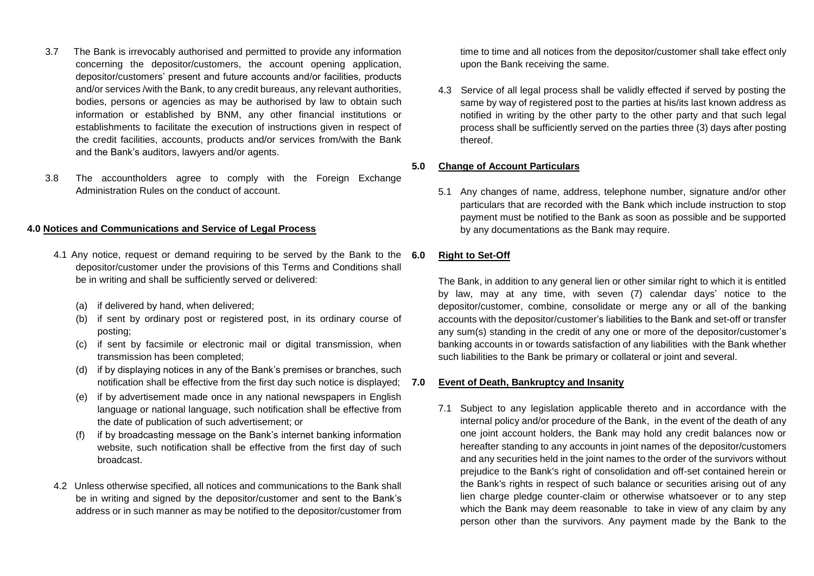- 3.7 The Bank is irrevocably authorised and permitted to provide any information concerning the depositor/customers, the account opening application, depositor/customers' present and future accounts and/or facilities, products and/or services /with the Bank, to any credit bureaus, any relevant authorities, bodies, persons or agencies as may be authorised by law to obtain such information or established by BNM, any other financial institutions or establishments to facilitate the execution of instructions given in respect of the credit facilities, accounts, products and/or services from/with the Bank and the Bank's auditors, lawyers and/or agents.
- 3.8 The accountholders agree to comply with the Foreign Exchange Administration Rules on the conduct of account.

### **4.0 Notices and Communications and Service of Legal Process**

- 4.1 Any notice, request or demand requiring to be served by the Bank to the 6.0 depositor/customer under the provisions of this Terms and Conditions shall be in writing and shall be sufficiently served or delivered:
	- (a) if delivered by hand, when delivered;
	- (b) if sent by ordinary post or registered post, in its ordinary course of posting;
	- (c) if sent by facsimile or electronic mail or digital transmission, when transmission has been completed;
	- (d) if by displaying notices in any of the Bank's premises or branches, such notification shall be effective from the first day such notice is displayed;
	- (e) if by advertisement made once in any national newspapers in English language or national language, such notification shall be effective from the date of publication of such advertisement; or
	- (f) if by broadcasting message on the Bank's internet banking information website, such notification shall be effective from the first day of such broadcast.
- 4.2 Unless otherwise specified, all notices and communications to the Bank shall be in writing and signed by the depositor/customer and sent to the Bank's address or in such manner as may be notified to the depositor/customer from

time to time and all notices from the depositor/customer shall take effect only upon the Bank receiving the same.

4.3 Service of all legal process shall be validly effected if served by posting the same by way of registered post to the parties at his/its last known address as notified in writing by the other party to the other party and that such legal process shall be sufficiently served on the parties three (3) days after posting thereof.

# **5.0 Change of Account Particulars**

5.1 Any changes of name, address, telephone number, signature and/or other particulars that are recorded with the Bank which include instruction to stop payment must be notified to the Bank as soon as possible and be supported by any documentations as the Bank may require.

### **6.0 Right to Set-Off**

The Bank, in addition to any general lien or other similar right to which it is entitled by law, may at any time, with seven (7) calendar days' notice to the depositor/customer, combine, consolidate or merge any or all of the banking accounts with the depositor/customer's liabilities to the Bank and set-off or transfer any sum(s) standing in the credit of any one or more of the depositor/customer's banking accounts in or towards satisfaction of any liabilities with the Bank whether such liabilities to the Bank be primary or collateral or joint and several.

#### **7.0 Event of Death, Bankruptcy and Insanity**

7.1 Subject to any legislation applicable thereto and in accordance with the internal policy and/or procedure of the Bank, in the event of the death of any one joint account holders, the Bank may hold any credit balances now or hereafter standing to any accounts in joint names of the depositor/customers and any securities held in the joint names to the order of the survivors without prejudice to the Bank's right of consolidation and off-set contained herein or the Bank's rights in respect of such balance or securities arising out of any lien charge pledge counter-claim or otherwise whatsoever or to any step which the Bank may deem reasonable to take in view of any claim by any person other than the survivors. Any payment made by the Bank to the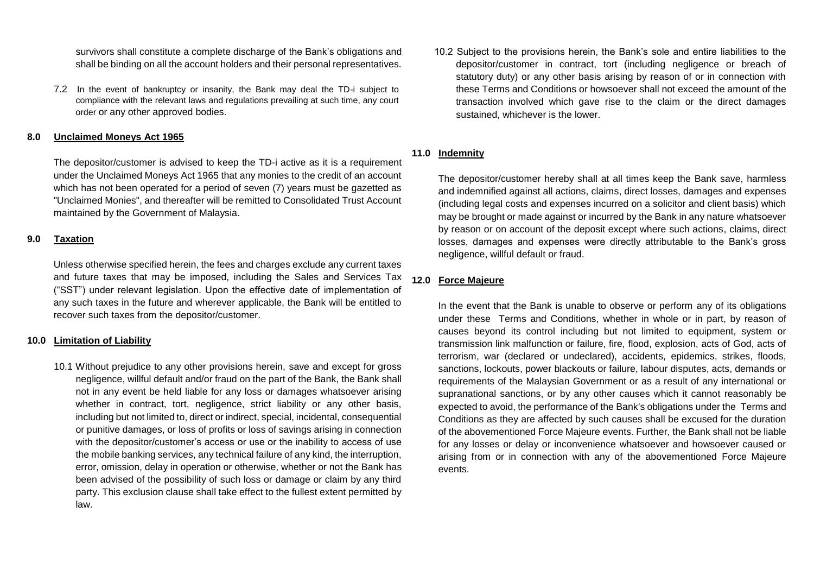survivors shall constitute a complete discharge of the Bank's obligations and shall be binding on all the account holders and their personal representatives.

7.2 In the event of bankruptcy or insanity, the Bank may deal the TD-i subject to compliance with the relevant laws and regulations prevailing at such time, any court order or any other approved bodies.

### **8.0 Unclaimed Moneys Act 1965**

The depositor/customer is advised to keep the TD-i active as it is a requirement under the Unclaimed Moneys Act 1965 that any monies to the credit of an account which has not been operated for a period of seven (7) years must be gazetted as "Unclaimed Monies", and thereafter will be remitted to Consolidated Trust Account maintained by the Government of Malaysia.

#### **9.0 Taxation**

Unless otherwise specified herein, the fees and charges exclude any current taxes and future taxes that may be imposed, including the Sales and Services Tax ("SST") under relevant legislation. Upon the effective date of implementation of any such taxes in the future and wherever applicable, the Bank will be entitled to recover such taxes from the depositor/customer.

### **10.0 Limitation of Liability**

10.1 Without prejudice to any other provisions herein, save and except for gross negligence, willful default and/or fraud on the part of the Bank, the Bank shall not in any event be held liable for any loss or damages whatsoever arising whether in contract, tort, negligence, strict liability or any other basis, including but not limited to, direct or indirect, special, incidental, consequential or punitive damages, or loss of profits or loss of savings arising in connection with the depositor/customer's access or use or the inability to access of use the mobile banking services, any technical failure of any kind, the interruption, error, omission, delay in operation or otherwise, whether or not the Bank has been advised of the possibility of such loss or damage or claim by any third party. This exclusion clause shall take effect to the fullest extent permitted by law.

10.2 Subject to the provisions herein, the Bank's sole and entire liabilities to the depositor/customer in contract, tort (including negligence or breach of statutory duty) or any other basis arising by reason of or in connection with these Terms and Conditions or howsoever shall not exceed the amount of the transaction involved which gave rise to the claim or the direct damages sustained, whichever is the lower.

# **11.0 Indemnity**

The depositor/customer hereby shall at all times keep the Bank save, harmless and indemnified against all actions, claims, direct losses, damages and expenses (including legal costs and expenses incurred on a solicitor and client basis) which may be brought or made against or incurred by the Bank in any nature whatsoever by reason or on account of the deposit except where such actions, claims, direct losses, damages and expenses were directly attributable to the Bank's gross negligence, willful default or fraud.

## **12.0 Force Majeure**

In the event that the Bank is unable to observe or perform any of its obligations under these Terms and Conditions, whether in whole or in part, by reason of causes beyond its control including but not limited to equipment, system or transmission link malfunction or failure, fire, flood, explosion, acts of God, acts of terrorism, war (declared or undeclared), accidents, epidemics, strikes, floods, sanctions, lockouts, power blackouts or failure, labour disputes, acts, demands or requirements of the Malaysian Government or as a result of any international or supranational sanctions, or by any other causes which it cannot reasonably be expected to avoid, the performance of the Bank's obligations under the Terms and Conditions as they are affected by such causes shall be excused for the duration of the abovementioned Force Majeure events. Further, the Bank shall not be liable for any losses or delay or inconvenience whatsoever and howsoever caused or arising from or in connection with any of the abovementioned Force Majeure events.